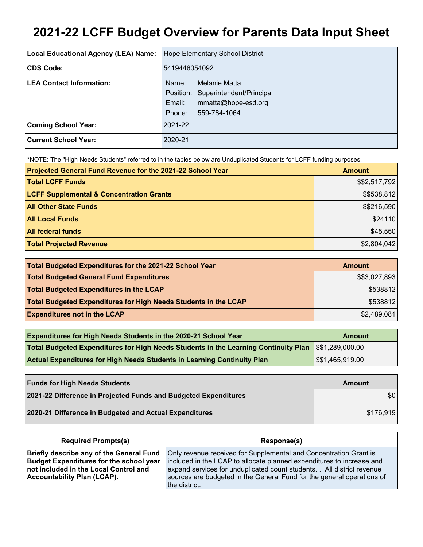# **2021-22 LCFF Budget Overview for Parents Data Input Sheet**

| <b>Local Educational Agency (LEA) Name:</b> | Hope Elementary School District                                                                                         |
|---------------------------------------------|-------------------------------------------------------------------------------------------------------------------------|
| <b>CDS Code:</b>                            | 5419446054092                                                                                                           |
| <b>LEA Contact Information:</b>             | Melanie Matta<br>Name:<br>Position: Superintendent/Principal<br>mmatta@hope-esd.org<br>Email:<br>Phone:<br>559-784-1064 |
| <b>Coming School Year:</b>                  | 2021-22                                                                                                                 |
| <b>Current School Year:</b>                 | 2020-21                                                                                                                 |

\*NOTE: The "High Needs Students" referred to in the tables below are Unduplicated Students for LCFF funding purposes.

| Projected General Fund Revenue for the 2021-22 School Year | <b>Amount</b> |
|------------------------------------------------------------|---------------|
| <b>Total LCFF Funds</b>                                    | \$\$2,517,792 |
| <b>LCFF Supplemental &amp; Concentration Grants</b>        | \$\$538,812   |
| <b>All Other State Funds</b>                               | \$\$216,590   |
| <b>All Local Funds</b>                                     | \$24110       |
| <b>All federal funds</b>                                   | \$45,550      |
| <b>Total Projected Revenue</b>                             | \$2,804,042   |

| Total Budgeted Expenditures for the 2021-22 School Year         | <b>Amount</b> |
|-----------------------------------------------------------------|---------------|
| <b>Total Budgeted General Fund Expenditures</b>                 | \$\$3,027,893 |
| <b>Total Budgeted Expenditures in the LCAP</b>                  | \$538812      |
| Total Budgeted Expenditures for High Needs Students in the LCAP | \$538812      |
| <b>Expenditures not in the LCAP</b>                             | \$2,489,081   |

| <b>Expenditures for High Needs Students in the 2020-21 School Year</b>                                 | Amount                       |
|--------------------------------------------------------------------------------------------------------|------------------------------|
| Total Budgeted Expenditures for High Needs Students in the Learning Continuity Plan   \$\$1,289,000.00 |                              |
| <b>Actual Expenditures for High Needs Students in Learning Continuity Plan</b>                         | $\frac{1}{5}$ \$1,465,919.00 |

| <b>Funds for High Needs Students</b>                            | Amount    |
|-----------------------------------------------------------------|-----------|
| 2021-22 Difference in Projected Funds and Budgeted Expenditures | \$0       |
| 2020-21 Difference in Budgeted and Actual Expenditures          | \$176.919 |

| <b>Required Prompts(s)</b>                      | Response(s)                                                             |
|-------------------------------------------------|-------------------------------------------------------------------------|
| <b>Briefly describe any of the General Fund</b> | Only revenue received for Supplemental and Concentration Grant is       |
| <b>Budget Expenditures for the school year</b>  | included in the LCAP to allocate planned expenditures to increase and   |
| not included in the Local Control and           | expand services for unduplicated count students. . All district revenue |
| <b>Accountability Plan (LCAP).</b>              | sources are budgeted in the General Fund for the general operations of  |
|                                                 | the district.                                                           |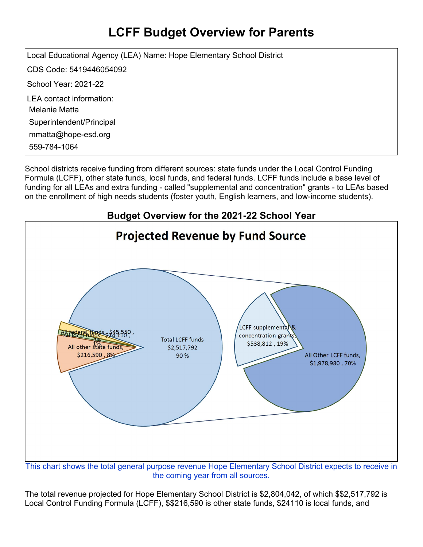## **LCFF Budget Overview for Parents**

Local Educational Agency (LEA) Name: Hope Elementary School District CDS Code: 5419446054092 School Year: 2021-22 LEA contact information: Melanie Matta Superintendent/Principal mmatta@hope-esd.org 559-784-1064

School districts receive funding from different sources: state funds under the Local Control Funding Formula (LCFF), other state funds, local funds, and federal funds. LCFF funds include a base level of funding for all LEAs and extra funding - called "supplemental and concentration" grants - to LEAs based on the enrollment of high needs students (foster youth, English learners, and low-income students).



This chart shows the total general purpose revenue Hope Elementary School District expects to receive in the coming year from all sources.

The total revenue projected for Hope Elementary School District is \$2,804,042, of which \$\$2,517,792 is Local Control Funding Formula (LCFF), \$\$216,590 is other state funds, \$24110 is local funds, and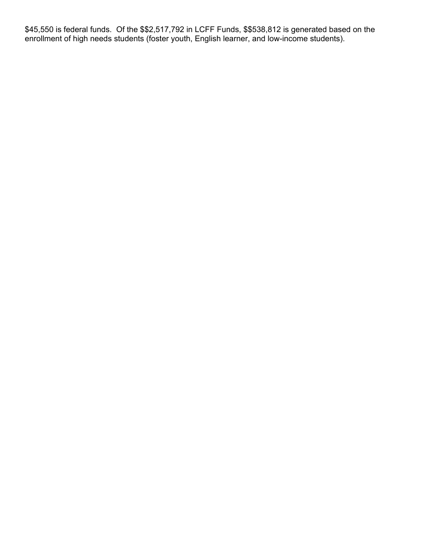\$45,550 is federal funds. Of the \$\$2,517,792 in LCFF Funds, \$\$538,812 is generated based on the enrollment of high needs students (foster youth, English learner, and low-income students).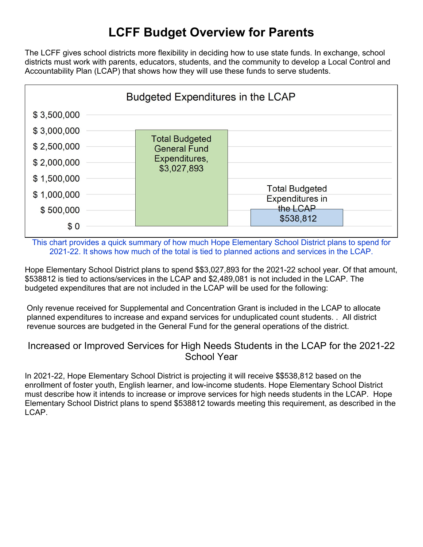### **LCFF Budget Overview for Parents**

The LCFF gives school districts more flexibility in deciding how to use state funds. In exchange, school districts must work with parents, educators, students, and the community to develop a Local Control and Accountability Plan (LCAP) that shows how they will use these funds to serve students.



This chart provides a quick summary of how much Hope Elementary School District plans to spend for 2021-22. It shows how much of the total is tied to planned actions and services in the LCAP.

Hope Elementary School District plans to spend \$\$3,027,893 for the 2021-22 school year. Of that amount, \$538812 is tied to actions/services in the LCAP and \$2,489,081 is not included in the LCAP. The budgeted expenditures that are not included in the LCAP will be used for the following:

Only revenue received for Supplemental and Concentration Grant is included in the LCAP to allocate planned expenditures to increase and expand services for unduplicated count students. . All district revenue sources are budgeted in the General Fund for the general operations of the district.

#### Increased or Improved Services for High Needs Students in the LCAP for the 2021-22 School Year

In 2021-22, Hope Elementary School District is projecting it will receive \$\$538,812 based on the enrollment of foster youth, English learner, and low-income students. Hope Elementary School District must describe how it intends to increase or improve services for high needs students in the LCAP. Hope Elementary School District plans to spend \$538812 towards meeting this requirement, as described in the LCAP.